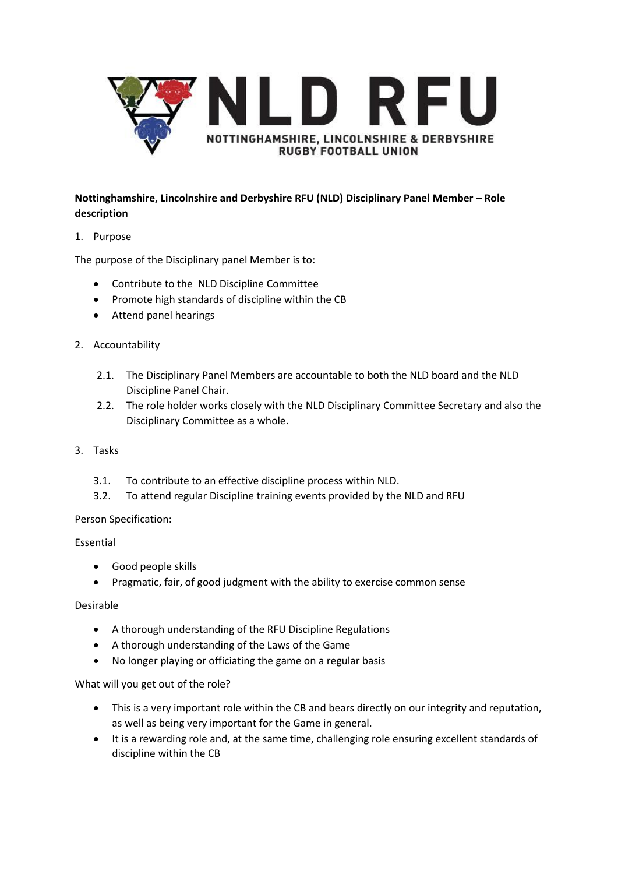

## **Nottinghamshire, Lincolnshire and Derbyshire RFU (NLD) Disciplinary Panel Member – Role description**

1. Purpose

The purpose of the Disciplinary panel Member is to:

- Contribute to the NLD Discipline Committee
- Promote high standards of discipline within the CB
- Attend panel hearings
- 2. Accountability
	- 2.1. The Disciplinary Panel Members are accountable to both the NLD board and the NLD Discipline Panel Chair.
	- 2.2. The role holder works closely with the NLD Disciplinary Committee Secretary and also the Disciplinary Committee as a whole.
- 3. Tasks
	- 3.1. To contribute to an effective discipline process within NLD.
	- 3.2. To attend regular Discipline training events provided by the NLD and RFU

## Person Specification:

## Essential

- Good people skills
- Pragmatic, fair, of good judgment with the ability to exercise common sense

## Desirable

- A thorough understanding of the RFU Discipline Regulations
- A thorough understanding of the Laws of the Game
- No longer playing or officiating the game on a regular basis

What will you get out of the role?

- This is a very important role within the CB and bears directly on our integrity and reputation, as well as being very important for the Game in general.
- It is a rewarding role and, at the same time, challenging role ensuring excellent standards of discipline within the CB